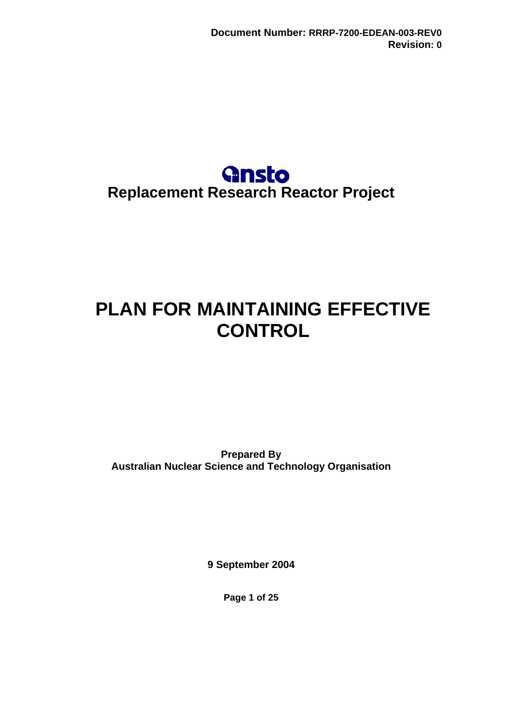

# <span id="page-0-0"></span>**PLAN FOR MAINTAINING EFFECTIVE CONTROL**

**Prepared By Australian Nuclear Science and Technology Organisation** 

**9 September 2004** 

**Page 1 of 25**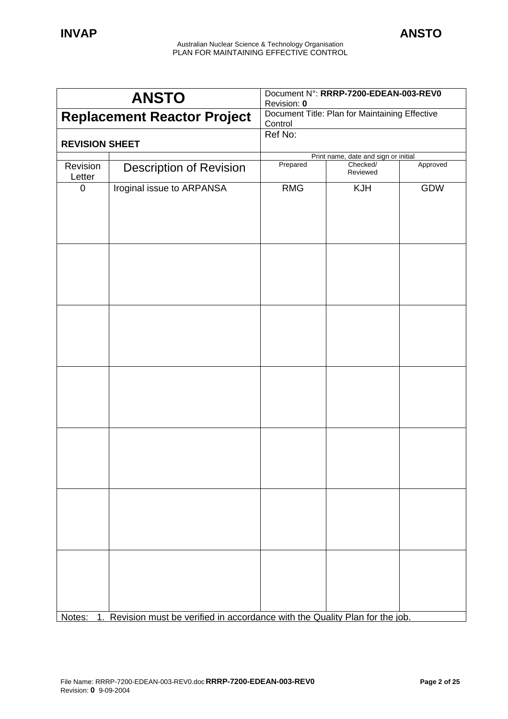| <b>ANSTO</b>          |                                                                            | Document N°: RRRP-7200-EDEAN-003-REV0<br>Revision: 0      |                                      |          |
|-----------------------|----------------------------------------------------------------------------|-----------------------------------------------------------|--------------------------------------|----------|
|                       | <b>Replacement Reactor Project</b>                                         | Document Title: Plan for Maintaining Effective<br>Control |                                      |          |
|                       |                                                                            | Ref No:                                                   |                                      |          |
| <b>REVISION SHEET</b> |                                                                            |                                                           | Print name, date and sign or initial |          |
| Revision<br>Letter    | <b>Description of Revision</b>                                             | Prepared                                                  | Checked/<br>Reviewed                 | Approved |
| $\mathbf 0$           | Iroginal issue to ARPANSA                                                  | <b>RMG</b>                                                | <b>KJH</b>                           | GDW      |
|                       |                                                                            |                                                           |                                      |          |
|                       |                                                                            |                                                           |                                      |          |
|                       |                                                                            |                                                           |                                      |          |
|                       |                                                                            |                                                           |                                      |          |
|                       |                                                                            |                                                           |                                      |          |
|                       |                                                                            |                                                           |                                      |          |
|                       |                                                                            |                                                           |                                      |          |
|                       |                                                                            |                                                           |                                      |          |
|                       |                                                                            |                                                           |                                      |          |
|                       |                                                                            |                                                           |                                      |          |
|                       |                                                                            |                                                           |                                      |          |
|                       |                                                                            |                                                           |                                      |          |
|                       |                                                                            |                                                           |                                      |          |
|                       |                                                                            |                                                           |                                      |          |
|                       |                                                                            |                                                           |                                      |          |
|                       |                                                                            |                                                           |                                      |          |
|                       |                                                                            |                                                           |                                      |          |
|                       |                                                                            |                                                           |                                      |          |
|                       |                                                                            |                                                           |                                      |          |
|                       |                                                                            |                                                           |                                      |          |
| Notes:<br>1.          | Revision must be verified in accordance with the Quality Plan for the job. |                                                           |                                      |          |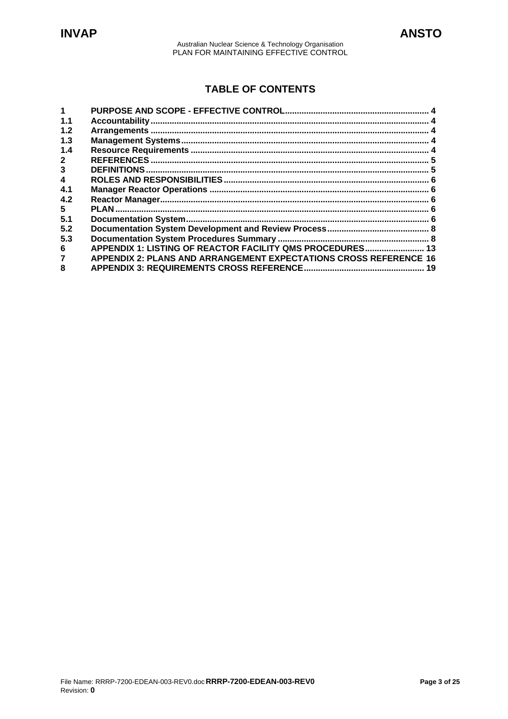# **TABLE OF CONTENTS**

| 1.1 |                                                                   |    |
|-----|-------------------------------------------------------------------|----|
| 1.2 |                                                                   |    |
| 1.3 |                                                                   |    |
| 1.4 |                                                                   |    |
|     |                                                                   |    |
| 3   | <b>DEFINITIONS</b>                                                |    |
| 4   |                                                                   |    |
| 4.1 |                                                                   |    |
| 4.2 |                                                                   |    |
| 5   |                                                                   |    |
| 5.1 |                                                                   |    |
| 5.2 |                                                                   |    |
| 5.3 |                                                                   |    |
| 6   | APPENDIX 1: LISTING OF REACTOR FACILITY QMS PROCEDURES 13         |    |
|     | APPENDIX 2: PLANS AND ARRANGEMENT EXPECTATIONS CROSS REFERENCE 16 |    |
| 8   |                                                                   | 19 |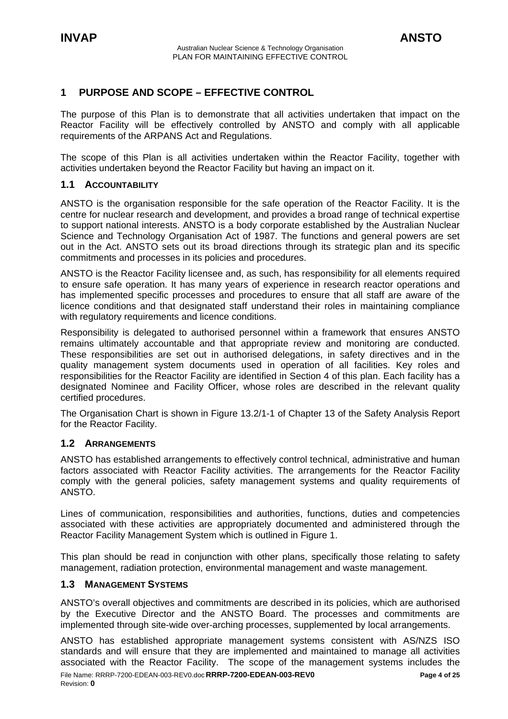# <span id="page-3-0"></span>**1 PURPOSE AND SCOPE – EFFECTIVE CONTROL**

The purpose of this Plan is to demonstrate that all activities undertaken that impact on the Reactor Facility will be effectively controlled by ANSTO and comply with all applicable requirements of the ARPANS Act and Regulations.

The scope of this Plan is all activities undertaken within the Reactor Facility, together with activities undertaken beyond the Reactor Facility but having an impact on it.

### **1.1 ACCOUNTABILITY**

ANSTO is the organisation responsible for the safe operation of the Reactor Facility. It is the centre for nuclear research and development, and provides a broad range of technical expertise to support national interests. ANSTO is a body corporate established by the Australian Nuclear Science and Technology Organisation Act of 1987. The functions and general powers are set out in the Act. ANSTO sets out its broad directions through its strategic plan and its specific commitments and processes in its policies and procedures.

ANSTO is the Reactor Facility licensee and, as such, has responsibility for all elements required to ensure safe operation. It has many years of experience in research reactor operations and has implemented specific processes and procedures to ensure that all staff are aware of the licence conditions and that designated staff understand their roles in maintaining compliance with regulatory requirements and licence conditions.

Responsibility is delegated to authorised personnel within a framework that ensures ANSTO remains ultimately accountable and that appropriate review and monitoring are conducted. These responsibilities are set out in authorised delegations, in safety directives and in the quality management system documents used in operation of all facilities. Key roles and responsibilities for the Reactor Facility are identified in Section 4 of this plan. Each facility has a designated Nominee and Facility Officer, whose roles are described in the relevant quality certified procedures.

The Organisation Chart is shown in Figure 13.2/1-1 of Chapter 13 of the Safety Analysis Report for the Reactor Facility.

### **1.2 ARRANGEMENTS**

ANSTO has established arrangements to effectively control technical, administrative and human factors associated with Reactor Facility activities. The arrangements for the Reactor Facility comply with the general policies, safety management systems and quality requirements of ANSTO.

Lines of communication, responsibilities and authorities, functions, duties and competencies associated with these activities are appropriately documented and administered through the Reactor Facility Management System which is outlined in Figure 1.

This plan should be read in conjunction with other plans, specifically those relating to safety management, radiation protection, environmental management and waste management.

### **1.3 MANAGEMENT SYSTEMS**

ANSTO's overall objectives and commitments are described in its policies, which are authorised by the Executive Director and the ANSTO Board. The processes and commitments are implemented through site-wide over-arching processes, supplemented by local arrangements.

**RRRP-7200-EDEAN-003-REV0** File Name: RRRP-7200-EDEAN-003-REV0.doc **Page 4 of 25**  ANSTO has established appropriate management systems consistent with AS/NZS ISO standards and will ensure that they are implemented and maintained to manage all activities associated with the Reactor Facility. The scope of the management systems includes the Revision: **0**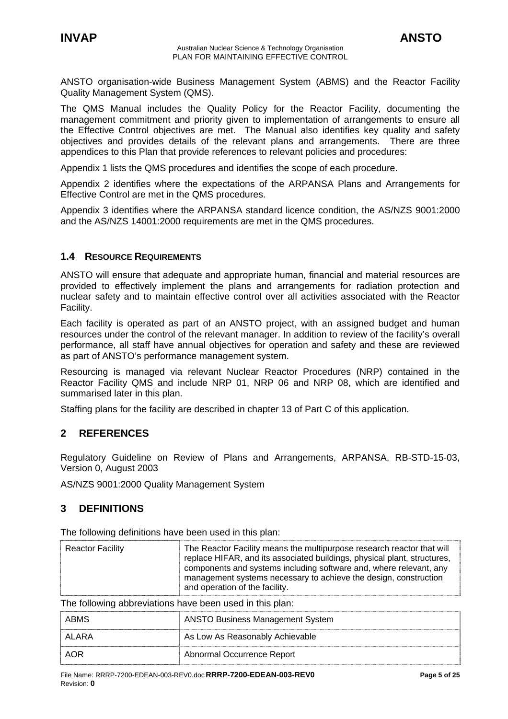<span id="page-4-0"></span>ANSTO organisation-wide Business Management System (ABMS) and the Reactor Facility Quality Management System (QMS).

The QMS Manual includes the Quality Policy for the Reactor Facility, documenting the management commitment and priority given to implementation of arrangements to ensure all the Effective Control objectives are met. The Manual also identifies key quality and safety objectives and provides details of the relevant plans and arrangements. There are three appendices to this Plan that provide references to relevant policies and procedures:

Appendix 1 lists the QMS procedures and identifies the scope of each procedure.

Appendix 2 identifies where the expectations of the ARPANSA Plans and Arrangements for Effective Control are met in the QMS procedures.

Appendix 3 identifies where the ARPANSA standard licence condition, the AS/NZS 9001:2000 and the AS/NZS 14001:2000 requirements are met in the QMS procedures.

### **1.4 RESOURCE REQUIREMENTS**

ANSTO will ensure that adequate and appropriate human, financial and material resources are provided to effectively implement the plans and arrangements for radiation protection and nuclear safety and to maintain effective control over all activities associated with the Reactor Facility.

Each facility is operated as part of an ANSTO project, with an assigned budget and human resources under the control of the relevant manager. In addition to review of the facility's overall performance, all staff have annual objectives for operation and safety and these are reviewed as part of ANSTO's performance management system.

Resourcing is managed via relevant Nuclear Reactor Procedures (NRP) contained in the Reactor Facility QMS and include NRP 01, NRP 06 and NRP 08, which are identified and summarised later in this plan.

Staffing plans for the facility are described in chapter 13 of Part C of this application.

# **2 REFERENCES**

Regulatory Guideline on Review of Plans and Arrangements, ARPANSA, RB-STD-15-03, Version 0, August 2003

AS/NZS 9001:2000 Quality Management System

# **3 DEFINITIONS**

The following definitions have been used in this plan:

| <b>Reactor Facility</b>                                  | The Reactor Facility means the multipurpose research reactor that will<br>replace HIFAR, and its associated buildings, physical plant, structures,<br>components and systems including software and, where relevant, any<br>management systems necessary to achieve the design, construction<br>and operation of the facility. |
|----------------------------------------------------------|--------------------------------------------------------------------------------------------------------------------------------------------------------------------------------------------------------------------------------------------------------------------------------------------------------------------------------|
| The following abbreviations have been used in this plan: |                                                                                                                                                                                                                                                                                                                                |
| ABMS                                                     | <b>ANSTO Business Management System</b>                                                                                                                                                                                                                                                                                        |
| AI ARA                                                   | As Low As Reasonably Achievable                                                                                                                                                                                                                                                                                                |
| AOR                                                      | Abnormal Occurrence Report                                                                                                                                                                                                                                                                                                     |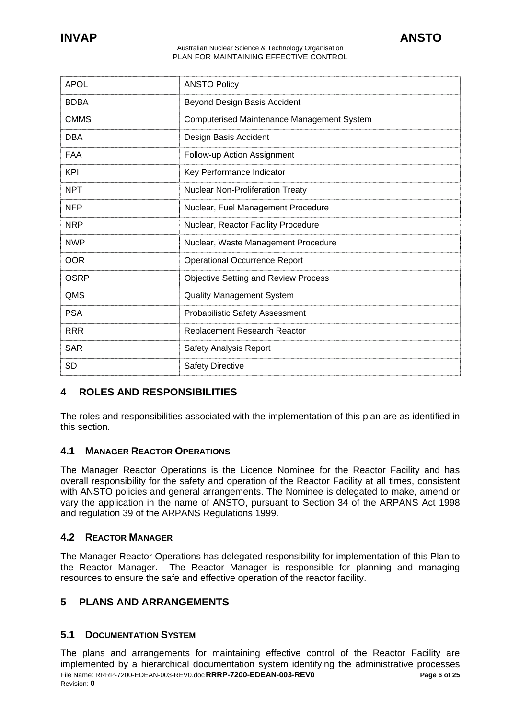<span id="page-5-0"></span>

| <b>APOL</b> | <b>ANSTO Policy</b>                               |
|-------------|---------------------------------------------------|
| <b>BDBA</b> | Beyond Design Basis Accident                      |
| <b>CMMS</b> | <b>Computerised Maintenance Management System</b> |
| <b>DBA</b>  | Design Basis Accident                             |
| <b>FAA</b>  | Follow-up Action Assignment                       |
| <b>KPI</b>  | Key Performance Indicator                         |
| <b>NPT</b>  | Nuclear Non-Proliferation Treaty                  |
| <b>NFP</b>  | Nuclear, Fuel Management Procedure                |
| <b>NRP</b>  | Nuclear, Reactor Facility Procedure               |
| <b>NWP</b>  | Nuclear, Waste Management Procedure               |
| <b>OOR</b>  | <b>Operational Occurrence Report</b>              |
| OSRP        | <b>Objective Setting and Review Process</b>       |
| QMS         | <b>Quality Management System</b>                  |
| <b>PSA</b>  | <b>Probabilistic Safety Assessment</b>            |
| <b>RRR</b>  | Replacement Research Reactor                      |
| <b>SAR</b>  | Safety Analysis Report                            |
| <b>SD</b>   | <b>Safety Directive</b>                           |

# **4 ROLES AND RESPONSIBILITIES**

The roles and responsibilities associated with the implementation of this plan are as identified in this section.

# **4.1 MANAGER REACTOR OPERATIONS**

The Manager Reactor Operations is the Licence Nominee for the Reactor Facility and has overall responsibility for the safety and operation of the Reactor Facility at all times, consistent with ANSTO policies and general arrangements. The Nominee is delegated to make, amend or vary the application in the name of ANSTO, pursuant to Section 34 of the ARPANS Act 1998 and regulation 39 of the ARPANS Regulations 1999.

### **4.2 REACTOR MANAGER**

The Manager Reactor Operations has delegated responsibility for implementation of this Plan to the Reactor Manager. The Reactor Manager is responsible for planning and managing resources to ensure the safe and effective operation of the reactor facility.

# **5 PLANS AND ARRANGEMENTS**

### **5.1 DOCUMENTATION SYSTEM**

**RRRP-7200-EDEAN-003-REV0** File Name: RRRP-7200-EDEAN-003-REV0.doc **Page 6 of 25**  The plans and arrangements for maintaining effective control of the Reactor Facility are implemented by a hierarchical documentation system identifying the administrative processes Revision: **0**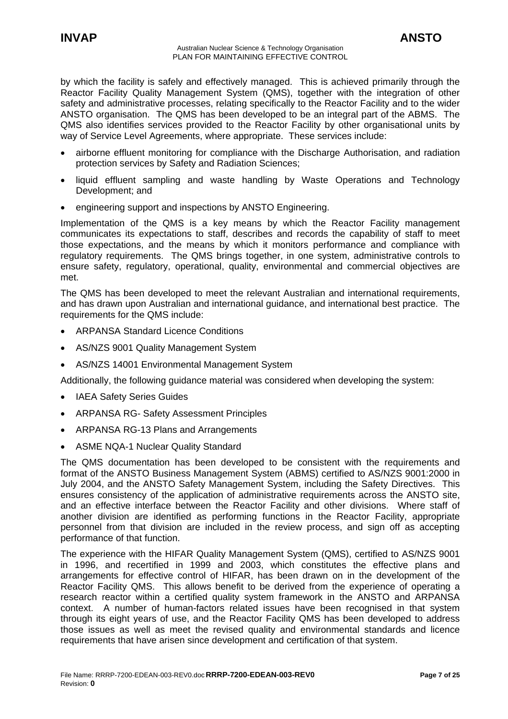by which the facility is safely and effectively managed. This is achieved primarily through the Reactor Facility Quality Management System (QMS), together with the integration of other safety and administrative processes, relating specifically to the Reactor Facility and to the wider ANSTO organisation. The QMS has been developed to be an integral part of the ABMS. The QMS also identifies services provided to the Reactor Facility by other organisational units by way of Service Level Agreements, where appropriate. These services include:

- airborne effluent monitoring for compliance with the Discharge Authorisation, and radiation protection services by Safety and Radiation Sciences;
- liquid effluent sampling and waste handling by Waste Operations and Technology Development; and
- engineering support and inspections by ANSTO Engineering.

Implementation of the QMS is a key means by which the Reactor Facility management communicates its expectations to staff, describes and records the capability of staff to meet those expectations, and the means by which it monitors performance and compliance with regulatory requirements. The QMS brings together, in one system, administrative controls to ensure safety, regulatory, operational, quality, environmental and commercial objectives are met.

The QMS has been developed to meet the relevant Australian and international requirements, and has drawn upon Australian and international guidance, and international best practice. The requirements for the QMS include:

- ARPANSA Standard Licence Conditions
- AS/NZS 9001 Quality Management System
- AS/NZS 14001 Environmental Management System

Additionally, the following guidance material was considered when developing the system:

- IAEA Safety Series Guides
- ARPANSA RG- Safety Assessment Principles
- ARPANSA RG-13 Plans and Arrangements
- ASME NQA-1 Nuclear Quality Standard

The QMS documentation has been developed to be consistent with the requirements and format of the ANSTO Business Management System (ABMS) certified to AS/NZS 9001:2000 in July 2004, and the ANSTO Safety Management System, including the Safety Directives. This ensures consistency of the application of administrative requirements across the ANSTO site, and an effective interface between the Reactor Facility and other divisions. Where staff of another division are identified as performing functions in the Reactor Facility, appropriate personnel from that division are included in the review process, and sign off as accepting performance of that function.

The experience with the HIFAR Quality Management System (QMS), certified to AS/NZS 9001 in 1996, and recertified in 1999 and 2003, which constitutes the effective plans and arrangements for effective control of HIFAR, has been drawn on in the development of the Reactor Facility QMS. This allows benefit to be derived from the experience of operating a research reactor within a certified quality system framework in the ANSTO and ARPANSA context. A number of human-factors related issues have been recognised in that system through its eight years of use, and the Reactor Facility QMS has been developed to address those issues as well as meet the revised quality and environmental standards and licence requirements that have arisen since development and certification of that system.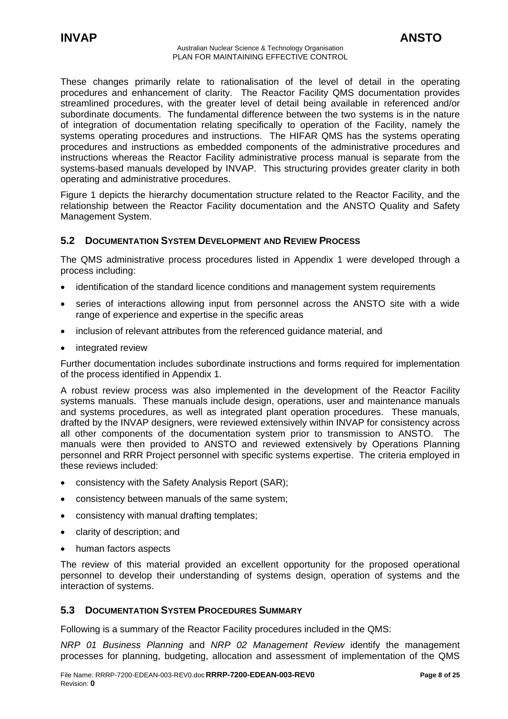<span id="page-7-0"></span>These changes primarily relate to rationalisation of the level of detail in the operating procedures and enhancement of clarity. The Reactor Facility QMS documentation provides streamlined procedures, with the greater level of detail being available in referenced and/or subordinate documents. The fundamental difference between the two systems is in the nature of integration of documentation relating specifically to operation of the Facility, namely the systems operating procedures and instructions. The HIFAR QMS has the systems operating procedures and instructions as embedded components of the administrative procedures and instructions whereas the Reactor Facility administrative process manual is separate from the systems-based manuals developed by INVAP. This structuring provides greater clarity in both operating and administrative procedures.

Figure 1 depicts the hierarchy documentation structure related to the Reactor Facility, and the relationship between the Reactor Facility documentation and the ANSTO Quality and Safety Management System.

### **5.2 DOCUMENTATION SYSTEM DEVELOPMENT AND REVIEW PROCESS**

The QMS administrative process procedures listed in Appendix 1 were developed through a process including:

- identification of the standard licence conditions and management system requirements
- series of interactions allowing input from personnel across the ANSTO site with a wide range of experience and expertise in the specific areas
- inclusion of relevant attributes from the referenced guidance material, and
- integrated review

Further documentation includes subordinate instructions and forms required for implementation of the process identified in Appendix 1.

A robust review process was also implemented in the development of the Reactor Facility systems manuals. These manuals include design, operations, user and maintenance manuals and systems procedures, as well as integrated plant operation procedures. These manuals, drafted by the INVAP designers, were reviewed extensively within INVAP for consistency across all other components of the documentation system prior to transmission to ANSTO. The manuals were then provided to ANSTO and reviewed extensively by Operations Planning personnel and RRR Project personnel with specific systems expertise. The criteria employed in these reviews included:

- consistency with the Safety Analysis Report (SAR);
- consistency between manuals of the same system;
- consistency with manual drafting templates;
- clarity of description; and
- human factors aspects

The review of this material provided an excellent opportunity for the proposed operational personnel to develop their understanding of systems design, operation of systems and the interaction of systems.

### **5.3 DOCUMENTATION SYSTEM PROCEDURES SUMMARY**

Following is a summary of the Reactor Facility procedures included in the QMS:

*NRP 01 Business Planning* and *NRP 02 Management Review* identify the management processes for planning, budgeting, allocation and assessment of implementation of the QMS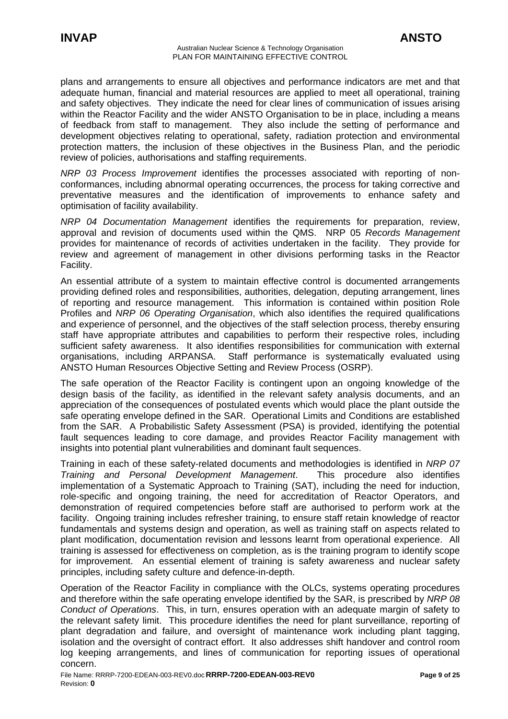plans and arrangements to ensure all objectives and performance indicators are met and that adequate human, financial and material resources are applied to meet all operational, training and safety objectives. They indicate the need for clear lines of communication of issues arising within the Reactor Facility and the wider ANSTO Organisation to be in place, including a means of feedback from staff to management. They also include the setting of performance and development objectives relating to operational, safety, radiation protection and environmental protection matters, the inclusion of these objectives in the Business Plan, and the periodic review of policies, authorisations and staffing requirements.

*NRP 03 Process Improvement* identifies the processes associated with reporting of nonconformances, including abnormal operating occurrences, the process for taking corrective and preventative measures and the identification of improvements to enhance safety and optimisation of facility availability.

*NRP 04 Documentation Management* identifies the requirements for preparation, review, approval and revision of documents used within the QMS. NRP 05 *Records Management* provides for maintenance of records of activities undertaken in the facility. They provide for review and agreement of management in other divisions performing tasks in the Reactor Facility.

An essential attribute of a system to maintain effective control is documented arrangements providing defined roles and responsibilities, authorities, delegation, deputing arrangement, lines of reporting and resource management. This information is contained within position Role Profiles and *NRP 06 Operating Organisation*, which also identifies the required qualifications and experience of personnel, and the objectives of the staff selection process, thereby ensuring staff have appropriate attributes and capabilities to perform their respective roles, including sufficient safety awareness. It also identifies responsibilities for communication with external organisations, including ARPANSA. Staff performance is systematically evaluated using ANSTO Human Resources Objective Setting and Review Process (OSRP).

The safe operation of the Reactor Facility is contingent upon an ongoing knowledge of the design basis of the facility, as identified in the relevant safety analysis documents, and an appreciation of the consequences of postulated events which would place the plant outside the safe operating envelope defined in the SAR. Operational Limits and Conditions are established from the SAR. A Probabilistic Safety Assessment (PSA) is provided, identifying the potential fault sequences leading to core damage, and provides Reactor Facility management with insights into potential plant vulnerabilities and dominant fault sequences.

Training in each of these safety-related documents and methodologies is identified in *NRP 07 Training and Personal Development Management*. This procedure also identifies implementation of a Systematic Approach to Training (SAT), including the need for induction, role-specific and ongoing training, the need for accreditation of Reactor Operators, and demonstration of required competencies before staff are authorised to perform work at the facility. Ongoing training includes refresher training, to ensure staff retain knowledge of reactor fundamentals and systems design and operation, as well as training staff on aspects related to plant modification, documentation revision and lessons learnt from operational experience. All training is assessed for effectiveness on completion, as is the training program to identify scope for improvement. An essential element of training is safety awareness and nuclear safety principles, including safety culture and defence-in-depth.

Operation of the Reactor Facility in compliance with the OLCs, systems operating procedures and therefore within the safe operating envelope identified by the SAR, is prescribed by *NRP 08 Conduct of Operations*. This, in turn, ensures operation with an adequate margin of safety to the relevant safety limit. This procedure identifies the need for plant surveillance, reporting of plant degradation and failure, and oversight of maintenance work including plant tagging, isolation and the oversight of contract effort. It also addresses shift handover and control room log keeping arrangements, and lines of communication for reporting issues of operational concern.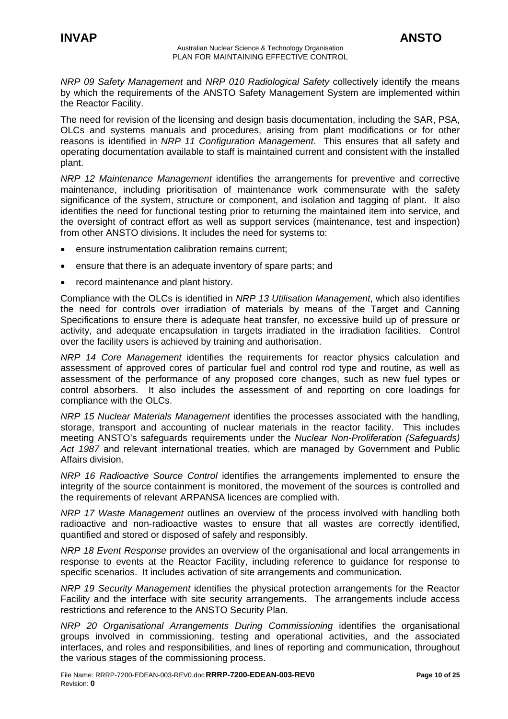*NRP 09 Safety Management* and *NRP 010 Radiological Safety* collectively identify the means by which the requirements of the ANSTO Safety Management System are implemented within the Reactor Facility.

The need for revision of the licensing and design basis documentation, including the SAR, PSA, OLCs and systems manuals and procedures, arising from plant modifications or for other reasons is identified in *NRP 11 Configuration Management*. This ensures that all safety and operating documentation available to staff is maintained current and consistent with the installed plant.

*NRP 12 Maintenance Management* identifies the arrangements for preventive and corrective maintenance, including prioritisation of maintenance work commensurate with the safety significance of the system, structure or component, and isolation and tagging of plant. It also identifies the need for functional testing prior to returning the maintained item into service, and the oversight of contract effort as well as support services (maintenance, test and inspection) from other ANSTO divisions. It includes the need for systems to:

- ensure instrumentation calibration remains current:
- ensure that there is an adequate inventory of spare parts; and
- record maintenance and plant history.

Compliance with the OLCs is identified in *NRP 13 Utilisation Management*, which also identifies the need for controls over irradiation of materials by means of the Target and Canning Specifications to ensure there is adequate heat transfer, no excessive build up of pressure or activity, and adequate encapsulation in targets irradiated in the irradiation facilities. Control over the facility users is achieved by training and authorisation.

*NRP 14 Core Management* identifies the requirements for reactor physics calculation and assessment of approved cores of particular fuel and control rod type and routine, as well as assessment of the performance of any proposed core changes, such as new fuel types or control absorbers. It also includes the assessment of and reporting on core loadings for compliance with the OLCs.

*NRP 15 Nuclear Materials Management* identifies the processes associated with the handling, storage, transport and accounting of nuclear materials in the reactor facility. This includes meeting ANSTO's safeguards requirements under the *Nuclear Non-Proliferation (Safeguards) Act 1987* and relevant international treaties, which are managed by Government and Public Affairs division.

*NRP 16 Radioactive Source Control* identifies the arrangements implemented to ensure the integrity of the source containment is monitored, the movement of the sources is controlled and the requirements of relevant ARPANSA licences are complied with.

*NRP 17 Waste Management* outlines an overview of the process involved with handling both radioactive and non-radioactive wastes to ensure that all wastes are correctly identified, quantified and stored or disposed of safely and responsibly.

*NRP 18 Event Response* provides an overview of the organisational and local arrangements in response to events at the Reactor Facility, including reference to guidance for response to specific scenarios. It includes activation of site arrangements and communication.

*NRP 19 Security Management* identifies the physical protection arrangements for the Reactor Facility and the interface with site security arrangements. The arrangements include access restrictions and reference to the ANSTO Security Plan.

*NRP 20 Organisational Arrangements During Commissioning* identifies the organisational groups involved in commissioning, testing and operational activities, and the associated interfaces, and roles and responsibilities, and lines of reporting and communication, throughout the various stages of the commissioning process.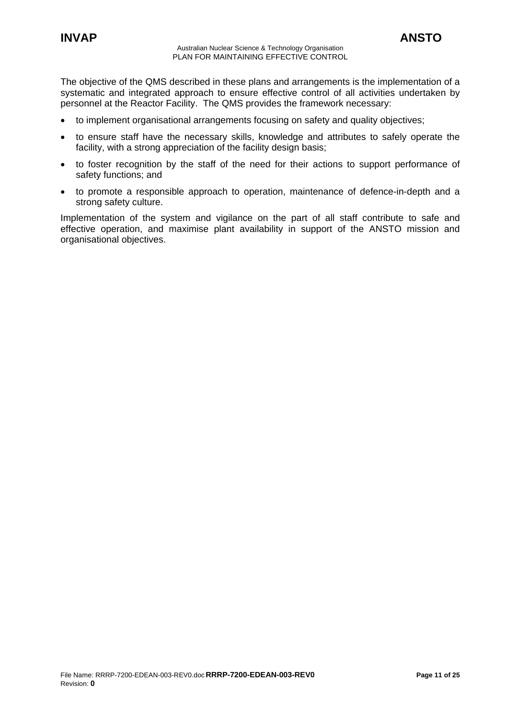The objective of the QMS described in these plans and arrangements is the implementation of a systematic and integrated approach to ensure effective control of all activities undertaken by personnel at the Reactor Facility. The QMS provides the framework necessary:

- to implement organisational arrangements focusing on safety and quality objectives;
- to ensure staff have the necessary skills, knowledge and attributes to safely operate the facility, with a strong appreciation of the facility design basis;
- to foster recognition by the staff of the need for their actions to support performance of safety functions; and
- to promote a responsible approach to operation, maintenance of defence-in-depth and a strong safety culture.

Implementation of the system and vigilance on the part of all staff contribute to safe and effective operation, and maximise plant availability in support of the ANSTO mission and organisational objectives.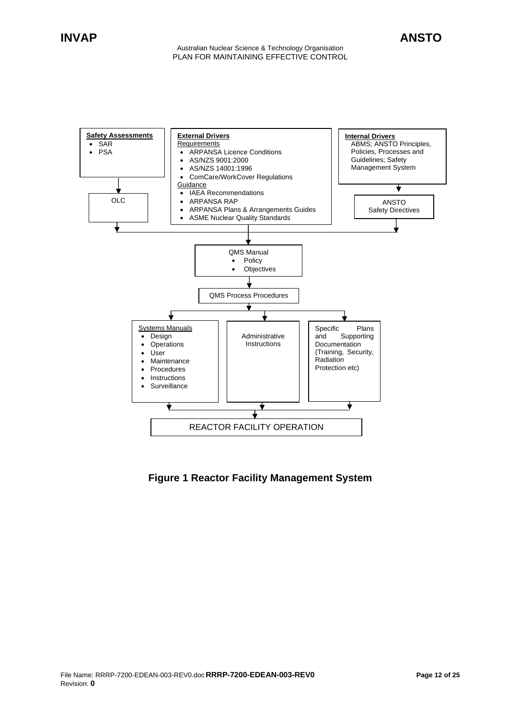

# **Figure 1 Reactor Facility Management System**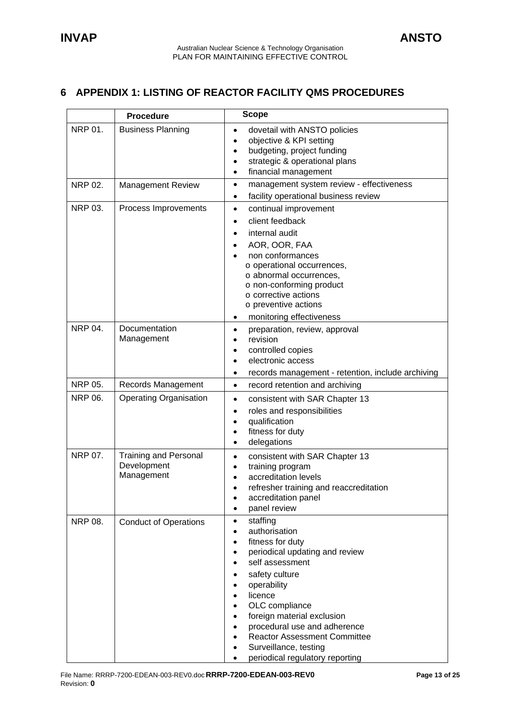# <span id="page-12-0"></span>**6 APPENDIX 1: LISTING OF REACTOR FACILITY QMS PROCEDURES**

|                | <b>Procedure</b>                                          | <b>Scope</b>                                                                                                                                                                                                                                                                                                                                                                                                                                                    |
|----------------|-----------------------------------------------------------|-----------------------------------------------------------------------------------------------------------------------------------------------------------------------------------------------------------------------------------------------------------------------------------------------------------------------------------------------------------------------------------------------------------------------------------------------------------------|
| <b>NRP 01.</b> | <b>Business Planning</b>                                  | dovetail with ANSTO policies<br>$\bullet$<br>objective & KPI setting<br>$\bullet$<br>budgeting, project funding<br>$\bullet$<br>strategic & operational plans<br>٠<br>financial management<br>$\bullet$                                                                                                                                                                                                                                                         |
| <b>NRP 02.</b> | <b>Management Review</b>                                  | management system review - effectiveness<br>$\bullet$<br>facility operational business review<br>٠                                                                                                                                                                                                                                                                                                                                                              |
| <b>NRP 03.</b> | Process Improvements                                      | continual improvement<br>٠<br>client feedback<br>$\bullet$<br>internal audit<br>٠<br>AOR, OOR, FAA<br>٠<br>non conformances<br>o operational occurrences,<br>o abnormal occurrences,<br>o non-conforming product<br>o corrective actions<br>o preventive actions<br>monitoring effectiveness<br>٠                                                                                                                                                               |
| <b>NRP 04.</b> | Documentation<br>Management                               | preparation, review, approval<br>$\bullet$<br>revision<br>$\bullet$<br>controlled copies<br>٠<br>electronic access<br>$\bullet$<br>records management - retention, include archiving<br>٠                                                                                                                                                                                                                                                                       |
| <b>NRP 05.</b> | Records Management                                        | record retention and archiving<br>$\bullet$                                                                                                                                                                                                                                                                                                                                                                                                                     |
| <b>NRP 06.</b> | <b>Operating Organisation</b>                             | consistent with SAR Chapter 13<br>٠<br>roles and responsibilities<br>٠<br>qualification<br>$\bullet$<br>fitness for duty<br>$\bullet$<br>delegations<br>٠                                                                                                                                                                                                                                                                                                       |
| NRP 07.        | <b>Training and Personal</b><br>Development<br>Management | consistent with SAR Chapter 13<br>$\bullet$<br>training program<br>$\bullet$<br>accreditation levels<br>refresher training and reaccreditation<br>accreditation panel<br>panel review<br>٠                                                                                                                                                                                                                                                                      |
| <b>NRP 08.</b> | <b>Conduct of Operations</b>                              | staffing<br>$\bullet$<br>authorisation<br>$\bullet$<br>fitness for duty<br>٠<br>periodical updating and review<br>٠<br>self assessment<br>٠<br>safety culture<br>$\bullet$<br>operability<br>$\bullet$<br>licence<br>$\bullet$<br>OLC compliance<br>$\bullet$<br>foreign material exclusion<br>٠<br>procedural use and adherence<br>٠<br><b>Reactor Assessment Committee</b><br>$\bullet$<br>Surveillance, testing<br>٠<br>periodical regulatory reporting<br>٠ |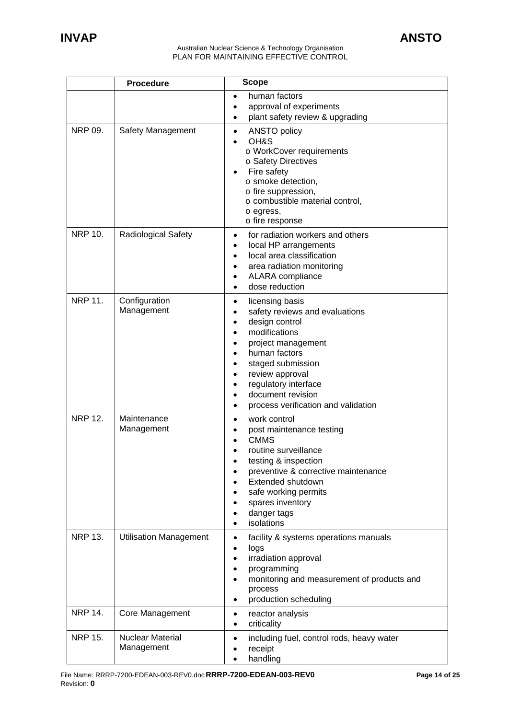|                | <b>Procedure</b>                      | <b>Scope</b>                                                                                                                                                                                                                                                                                                                                                                                           |
|----------------|---------------------------------------|--------------------------------------------------------------------------------------------------------------------------------------------------------------------------------------------------------------------------------------------------------------------------------------------------------------------------------------------------------------------------------------------------------|
|                |                                       | human factors<br>$\bullet$<br>approval of experiments<br>plant safety review & upgrading                                                                                                                                                                                                                                                                                                               |
| <b>NRP 09.</b> | Safety Management                     | <b>ANSTO policy</b><br>$\bullet$<br>OH&S<br>o WorkCover requirements<br>o Safety Directives<br>Fire safety<br>o smoke detection,<br>o fire suppression,<br>o combustible material control,<br>o egress,<br>o fire response                                                                                                                                                                             |
| <b>NRP 10.</b> | <b>Radiological Safety</b>            | for radiation workers and others<br>$\bullet$<br>local HP arrangements<br>local area classification<br>$\bullet$<br>area radiation monitoring<br>$\bullet$<br>ALARA compliance<br>$\bullet$<br>dose reduction<br>$\bullet$                                                                                                                                                                             |
| <b>NRP 11.</b> | Configuration<br>Management           | licensing basis<br>$\bullet$<br>safety reviews and evaluations<br>$\bullet$<br>design control<br>$\bullet$<br>modifications<br>$\bullet$<br>project management<br>$\bullet$<br>human factors<br>$\bullet$<br>staged submission<br>$\bullet$<br>review approval<br>$\bullet$<br>regulatory interface<br>$\bullet$<br>document revision<br>$\bullet$<br>process verification and validation<br>$\bullet$ |
| <b>NRP 12.</b> | Maintenance<br>Management             | work control<br>$\bullet$<br>post maintenance testing<br><b>CMMS</b><br>routine surveillance<br>testing & inspection<br>preventive & corrective maintenance<br>Extended shutdown<br>safe working permits<br>$\bullet$<br>spares inventory<br>danger tags<br>$\bullet$<br>isolations<br>$\bullet$                                                                                                       |
| <b>NRP 13.</b> | <b>Utilisation Management</b>         | facility & systems operations manuals<br>$\bullet$<br>logs<br>$\bullet$<br>irradiation approval<br>$\bullet$<br>programming<br>$\bullet$<br>monitoring and measurement of products and<br>$\bullet$<br>process<br>production scheduling<br>$\bullet$                                                                                                                                                   |
| <b>NRP 14.</b> | Core Management                       | reactor analysis<br>٠<br>criticality<br>$\bullet$                                                                                                                                                                                                                                                                                                                                                      |
| <b>NRP 15.</b> | <b>Nuclear Material</b><br>Management | including fuel, control rods, heavy water<br>$\bullet$<br>receipt<br>$\bullet$<br>handling<br>$\bullet$                                                                                                                                                                                                                                                                                                |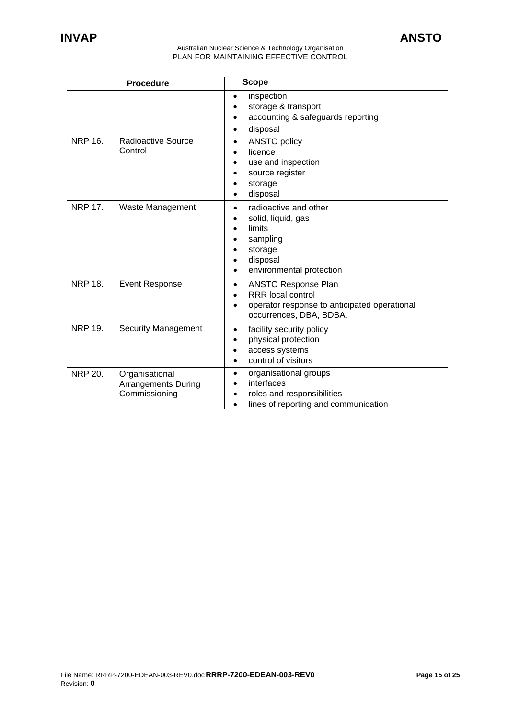|                | <b>Procedure</b>                                              | <b>Scope</b>                                                                                                                                                             |
|----------------|---------------------------------------------------------------|--------------------------------------------------------------------------------------------------------------------------------------------------------------------------|
|                |                                                               | inspection<br>$\bullet$<br>storage & transport<br>accounting & safeguards reporting<br>disposal<br>٠                                                                     |
| <b>NRP 16.</b> | Radioactive Source<br>Control                                 | <b>ANSTO policy</b><br>$\bullet$<br>licence<br>use and inspection<br>source register<br>storage<br>disposal<br>$\bullet$                                                 |
| <b>NRP 17.</b> | Waste Management                                              | radioactive and other<br>$\bullet$<br>solid, liquid, gas<br>$\bullet$<br>limits<br>$\bullet$<br>sampling<br>storage<br>disposal<br>environmental protection<br>$\bullet$ |
| <b>NRP 18.</b> | <b>Event Response</b>                                         | <b>ANSTO Response Plan</b><br>$\bullet$<br><b>RRR</b> local control<br>operator response to anticipated operational<br>$\bullet$<br>occurrences, DBA, BDBA.              |
| <b>NRP 19.</b> | <b>Security Management</b>                                    | facility security policy<br>$\bullet$<br>physical protection<br>access systems<br>control of visitors                                                                    |
| <b>NRP 20.</b> | Organisational<br><b>Arrangements During</b><br>Commissioning | organisational groups<br>$\bullet$<br>interfaces<br>roles and responsibilities<br>$\bullet$<br>lines of reporting and communication<br>$\bullet$                         |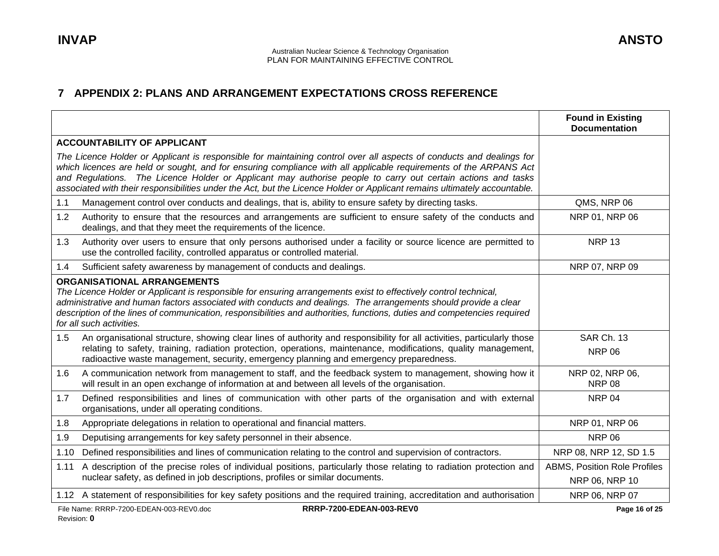# **7 APPENDIX 2: PLANS AND ARRANGEMENT EXPECTATIONS CROSS REFERENCE**

<span id="page-15-0"></span>

|                                                                                                                                                                                                                                                                                                                                                                                                                                                                                        | <b>Found in Existing</b><br><b>Documentation</b>      |
|----------------------------------------------------------------------------------------------------------------------------------------------------------------------------------------------------------------------------------------------------------------------------------------------------------------------------------------------------------------------------------------------------------------------------------------------------------------------------------------|-------------------------------------------------------|
| <b>ACCOUNTABILITY OF APPLICANT</b>                                                                                                                                                                                                                                                                                                                                                                                                                                                     |                                                       |
| The Licence Holder or Applicant is responsible for maintaining control over all aspects of conducts and dealings for<br>which licences are held or sought, and for ensuring compliance with all applicable requirements of the ARPANS Act<br>and Regulations. The Licence Holder or Applicant may authorise people to carry out certain actions and tasks<br>associated with their responsibilities under the Act, but the Licence Holder or Applicant remains ultimately accountable. |                                                       |
| 1.1<br>Management control over conducts and dealings, that is, ability to ensure safety by directing tasks.                                                                                                                                                                                                                                                                                                                                                                            | QMS, NRP 06                                           |
| 1.2<br>Authority to ensure that the resources and arrangements are sufficient to ensure safety of the conducts and<br>dealings, and that they meet the requirements of the licence.                                                                                                                                                                                                                                                                                                    | NRP 01, NRP 06                                        |
| Authority over users to ensure that only persons authorised under a facility or source licence are permitted to<br>1.3<br>use the controlled facility, controlled apparatus or controlled material.                                                                                                                                                                                                                                                                                    | <b>NRP 13</b>                                         |
| 1.4<br>Sufficient safety awareness by management of conducts and dealings.                                                                                                                                                                                                                                                                                                                                                                                                             | NRP 07, NRP 09                                        |
| <b>ORGANISATIONAL ARRANGEMENTS</b><br>The Licence Holder or Applicant is responsible for ensuring arrangements exist to effectively control technical,<br>administrative and human factors associated with conducts and dealings. The arrangements should provide a clear<br>description of the lines of communication, responsibilities and authorities, functions, duties and competencies required<br>for all such activities.                                                      |                                                       |
| An organisational structure, showing clear lines of authority and responsibility for all activities, particularly those<br>1.5<br>relating to safety, training, radiation protection, operations, maintenance, modifications, quality management,<br>radioactive waste management, security, emergency planning and emergency preparedness.                                                                                                                                            | SAR Ch. 13<br><b>NRP 06</b>                           |
| 1.6<br>A communication network from management to staff, and the feedback system to management, showing how it<br>will result in an open exchange of information at and between all levels of the organisation.                                                                                                                                                                                                                                                                        | NRP 02, NRP 06,<br><b>NRP 08</b>                      |
| Defined responsibilities and lines of communication with other parts of the organisation and with external<br>1.7<br>organisations, under all operating conditions.                                                                                                                                                                                                                                                                                                                    | <b>NRP 04</b>                                         |
| 1.8<br>Appropriate delegations in relation to operational and financial matters.                                                                                                                                                                                                                                                                                                                                                                                                       | NRP 01, NRP 06                                        |
| 1.9<br>Deputising arrangements for key safety personnel in their absence.                                                                                                                                                                                                                                                                                                                                                                                                              | <b>NRP 06</b>                                         |
| Defined responsibilities and lines of communication relating to the control and supervision of contractors.<br>1.10                                                                                                                                                                                                                                                                                                                                                                    | NRP 08, NRP 12, SD 1.5                                |
| A description of the precise roles of individual positions, particularly those relating to radiation protection and<br>1.11<br>nuclear safety, as defined in job descriptions, profiles or similar documents.                                                                                                                                                                                                                                                                          | <b>ABMS, Position Role Profiles</b><br>NRP 06, NRP 10 |
| 1.12 A statement of responsibilities for key safety positions and the required training, accreditation and authorisation                                                                                                                                                                                                                                                                                                                                                               | NRP 06, NRP 07                                        |
| RRRP-7200-EDEAN-003-REV0<br>File Name: RRRP-7200-EDEAN-003-REV0.doc                                                                                                                                                                                                                                                                                                                                                                                                                    | Page 16 of 25                                         |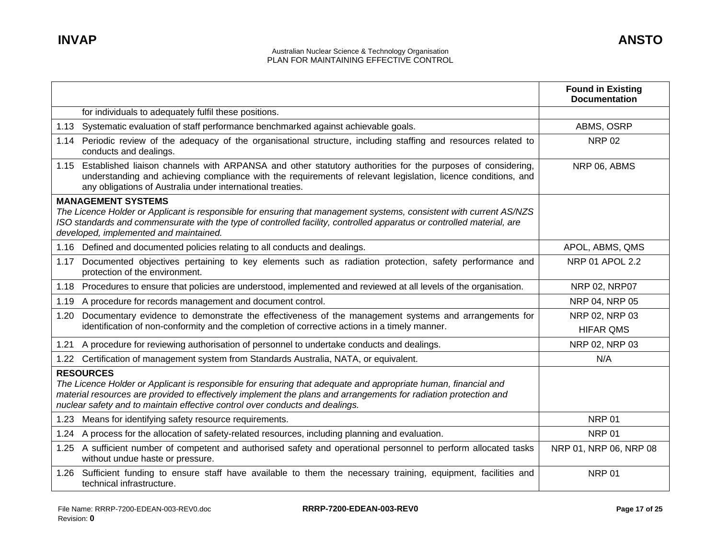|                                                                                                                                                                                                                                                                                                                                        | <b>Found in Existing</b><br><b>Documentation</b> |
|----------------------------------------------------------------------------------------------------------------------------------------------------------------------------------------------------------------------------------------------------------------------------------------------------------------------------------------|--------------------------------------------------|
| for individuals to adequately fulfil these positions.                                                                                                                                                                                                                                                                                  |                                                  |
| 1.13 Systematic evaluation of staff performance benchmarked against achievable goals.                                                                                                                                                                                                                                                  | ABMS, OSRP                                       |
| 1.14 Periodic review of the adequacy of the organisational structure, including staffing and resources related to<br>conducts and dealings.                                                                                                                                                                                            | <b>NRP 02</b>                                    |
| 1.15 Established liaison channels with ARPANSA and other statutory authorities for the purposes of considering,<br>understanding and achieving compliance with the requirements of relevant legislation, licence conditions, and<br>any obligations of Australia under international treaties.                                         | NRP 06, ABMS                                     |
| <b>MANAGEMENT SYSTEMS</b><br>The Licence Holder or Applicant is responsible for ensuring that management systems, consistent with current AS/NZS<br>ISO standards and commensurate with the type of controlled facility, controlled apparatus or controlled material, are<br>developed, implemented and maintained.                    |                                                  |
| 1.16 Defined and documented policies relating to all conducts and dealings.                                                                                                                                                                                                                                                            | APOL, ABMS, QMS                                  |
| Documented objectives pertaining to key elements such as radiation protection, safety performance and<br>1.17<br>protection of the environment.                                                                                                                                                                                        | <b>NRP 01 APOL 2.2</b>                           |
| 1.18 Procedures to ensure that policies are understood, implemented and reviewed at all levels of the organisation.                                                                                                                                                                                                                    | NRP 02, NRP07                                    |
| 1.19 A procedure for records management and document control.                                                                                                                                                                                                                                                                          | NRP 04, NRP 05                                   |
| Documentary evidence to demonstrate the effectiveness of the management systems and arrangements for<br>1.20<br>identification of non-conformity and the completion of corrective actions in a timely manner.                                                                                                                          | NRP 02, NRP 03<br><b>HIFAR QMS</b>               |
| 1.21 A procedure for reviewing authorisation of personnel to undertake conducts and dealings.                                                                                                                                                                                                                                          | NRP 02, NRP 03                                   |
| 1.22 Certification of management system from Standards Australia, NATA, or equivalent.                                                                                                                                                                                                                                                 | N/A                                              |
| <b>RESOURCES</b><br>The Licence Holder or Applicant is responsible for ensuring that adequate and appropriate human, financial and<br>material resources are provided to effectively implement the plans and arrangements for radiation protection and<br>nuclear safety and to maintain effective control over conducts and dealings. |                                                  |
| 1.23 Means for identifying safety resource requirements.                                                                                                                                                                                                                                                                               | <b>NRP 01</b>                                    |
| A process for the allocation of safety-related resources, including planning and evaluation.<br>1.24                                                                                                                                                                                                                                   | <b>NRP 01</b>                                    |
| 1.25 A sufficient number of competent and authorised safety and operational personnel to perform allocated tasks<br>without undue haste or pressure.                                                                                                                                                                                   | NRP 01, NRP 06, NRP 08                           |
| 1.26 Sufficient funding to ensure staff have available to them the necessary training, equipment, facilities and<br>technical infrastructure.                                                                                                                                                                                          | <b>NRP 01</b>                                    |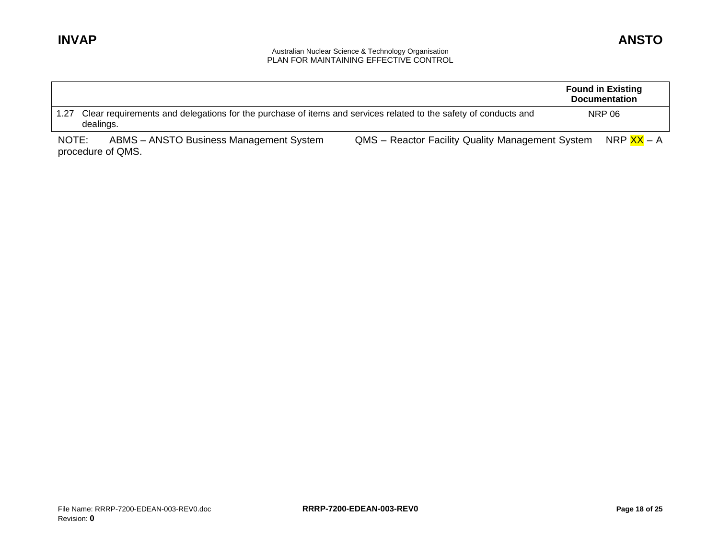|                            |                                                                                                                 |                                                  | <b>Found in Existing</b><br><b>Documentation</b> |
|----------------------------|-----------------------------------------------------------------------------------------------------------------|--------------------------------------------------|--------------------------------------------------|
| 1.27<br>dealings.          | Clear requirements and delegations for the purchase of items and services related to the safety of conducts and |                                                  | <b>NRP 06</b>                                    |
| NOTE:<br>procedure of QMS. | ABMS - ANSTO Business Management System                                                                         | QMS - Reactor Facility Quality Management System | NRP <mark>XX</mark> – A                          |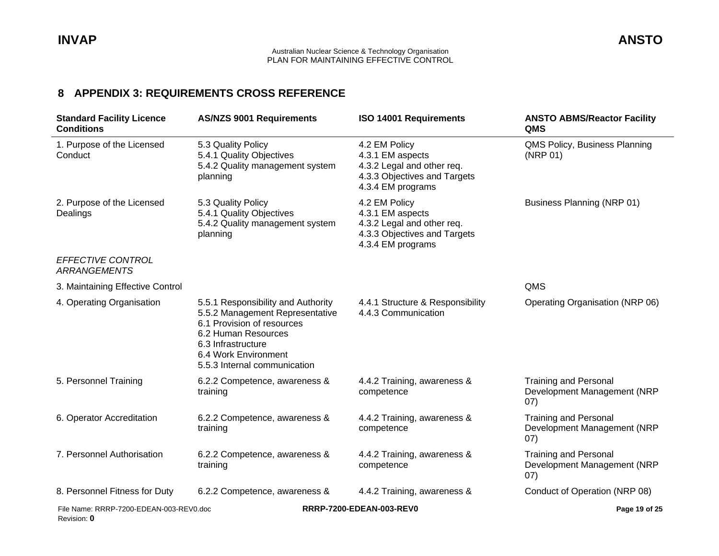### **8 APPENDIX 3: REQUIREMENT S CROSS REFERENCE**

<span id="page-18-0"></span>

| <b>Standard Facility Licence</b><br><b>Conditions</b>  | <b>AS/NZS 9001 Requirements</b>                                                                                                                                                                          | <b>ISO 14001 Requirements</b>                                                                                        | <b>ANSTO ABMS/Reactor Facility</b><br><b>QMS</b>                    |
|--------------------------------------------------------|----------------------------------------------------------------------------------------------------------------------------------------------------------------------------------------------------------|----------------------------------------------------------------------------------------------------------------------|---------------------------------------------------------------------|
| 1. Purpose of the Licensed<br>Conduct                  | 5.3 Quality Policy<br>5.4.1 Quality Objectives<br>5.4.2 Quality management system<br>planning                                                                                                            | 4.2 EM Policy<br>4.3.1 EM aspects<br>4.3.2 Legal and other req.<br>4.3.3 Objectives and Targets<br>4.3.4 EM programs | QMS Policy, Business Planning<br>(NRP 01)                           |
| 2. Purpose of the Licensed<br>Dealings                 | 5.3 Quality Policy<br>5.4.1 Quality Objectives<br>5.4.2 Quality management system<br>planning                                                                                                            | 4.2 EM Policy<br>4.3.1 EM aspects<br>4.3.2 Legal and other req.<br>4.3.3 Objectives and Targets<br>4.3.4 EM programs | Business Planning (NRP 01)                                          |
| EFFECTIVE CONTROL<br><b>ARRANGEMENTS</b>               |                                                                                                                                                                                                          |                                                                                                                      |                                                                     |
| 3. Maintaining Effective Control                       |                                                                                                                                                                                                          |                                                                                                                      | QMS                                                                 |
| 4. Operating Organisation                              | 5.5.1 Responsibility and Authority<br>5.5.2 Management Representative<br>6.1 Provision of resources<br>6.2 Human Resources<br>6.3 Infrastructure<br>6.4 Work Environment<br>5.5.3 Internal communication | 4.4.1 Structure & Responsibility<br>4.4.3 Communication                                                              | Operating Organisation (NRP 06)                                     |
| 5. Personnel Training                                  | 6.2.2 Competence, awareness &<br>training                                                                                                                                                                | 4.4.2 Training, awareness &<br>competence                                                                            | <b>Training and Personal</b><br>Development Management (NRP<br>07)  |
| 6. Operator Accreditation                              | 6.2.2 Competence, awareness &<br>training                                                                                                                                                                | 4.4.2 Training, awareness &<br>competence                                                                            | <b>Training and Personal</b><br>Development Management (NRP<br>07)  |
| 7. Personnel Authorisation                             | 6.2.2 Competence, awareness &<br>training                                                                                                                                                                | 4.4.2 Training, awareness &<br>competence                                                                            | <b>Training and Personal</b><br>Development Management (NRP<br>(07) |
| 8. Personnel Fitness for Duty                          | 6.2.2 Competence, awareness &                                                                                                                                                                            | 4.4.2 Training, awareness &                                                                                          | Conduct of Operation (NRP 08)                                       |
| File Name: RRRP-7200-EDEAN-003-REV0.doc<br>Revision: 0 |                                                                                                                                                                                                          | RRRP-7200-EDEAN-003-REV0                                                                                             | Page 19 of 25                                                       |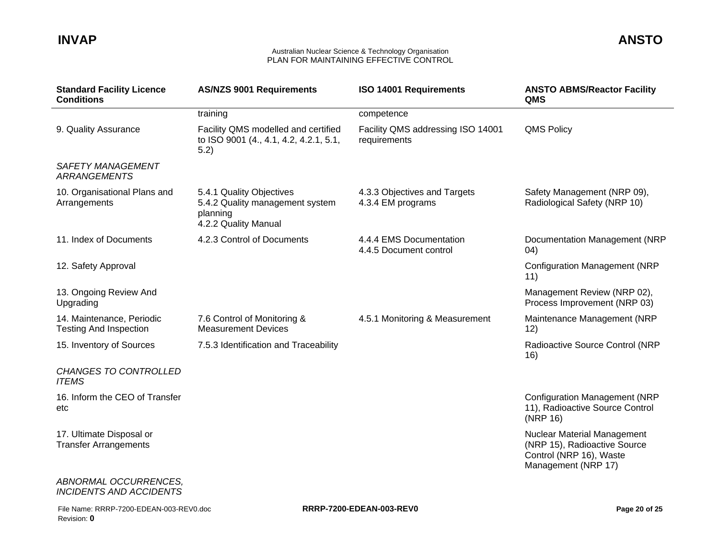| <b>Standard Facility Licence</b><br><b>Conditions</b>      | <b>AS/NZS 9001 Requirements</b>                                                                 | ISO 14001 Requirements                            | <b>ANSTO ABMS/Reactor Facility</b><br>QMS                                                                     |
|------------------------------------------------------------|-------------------------------------------------------------------------------------------------|---------------------------------------------------|---------------------------------------------------------------------------------------------------------------|
|                                                            | training                                                                                        | competence                                        |                                                                                                               |
| 9. Quality Assurance                                       | Facility QMS modelled and certified<br>to ISO 9001 (4., 4.1, 4.2, 4.2.1, 5.1,<br>5.2)           | Facility QMS addressing ISO 14001<br>requirements | <b>QMS Policy</b>                                                                                             |
| <b>SAFETY MANAGEMENT</b><br><b>ARRANGEMENTS</b>            |                                                                                                 |                                                   |                                                                                                               |
| 10. Organisational Plans and<br>Arrangements               | 5.4.1 Quality Objectives<br>5.4.2 Quality management system<br>planning<br>4.2.2 Quality Manual | 4.3.3 Objectives and Targets<br>4.3.4 EM programs | Safety Management (NRP 09),<br>Radiological Safety (NRP 10)                                                   |
| 11. Index of Documents                                     | 4.2.3 Control of Documents                                                                      | 4.4.4 EMS Documentation<br>4.4.5 Document control | Documentation Management (NRP<br>(04)                                                                         |
| 12. Safety Approval                                        |                                                                                                 |                                                   | <b>Configuration Management (NRP</b><br>11)                                                                   |
| 13. Ongoing Review And<br>Upgrading                        |                                                                                                 |                                                   | Management Review (NRP 02),<br>Process Improvement (NRP 03)                                                   |
| 14. Maintenance, Periodic<br><b>Testing And Inspection</b> | 7.6 Control of Monitoring &<br><b>Measurement Devices</b>                                       | 4.5.1 Monitoring & Measurement                    | Maintenance Management (NRP<br>12)                                                                            |
| 15. Inventory of Sources                                   | 7.5.3 Identification and Traceability                                                           |                                                   | Radioactive Source Control (NRP<br>16)                                                                        |
| <b>CHANGES TO CONTROLLED</b><br><b>ITEMS</b>               |                                                                                                 |                                                   |                                                                                                               |
| 16. Inform the CEO of Transfer<br>etc                      |                                                                                                 |                                                   | <b>Configuration Management (NRP</b><br>11), Radioactive Source Control<br>(NRP 16)                           |
| 17. Ultimate Disposal or<br><b>Transfer Arrangements</b>   |                                                                                                 |                                                   | Nuclear Material Management<br>(NRP 15), Radioactive Source<br>Control (NRP 16), Waste<br>Management (NRP 17) |
| ABNORMAL OCCURRENCES.<br><b>INCIDENTS AND ACCIDENTS</b>    |                                                                                                 |                                                   |                                                                                                               |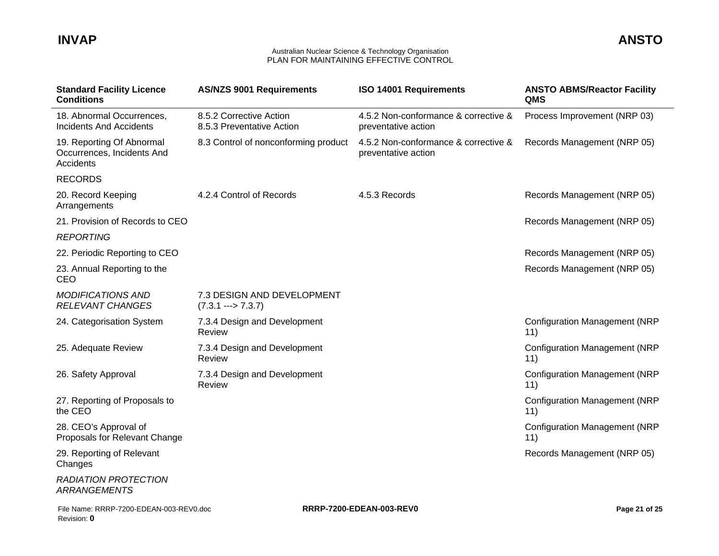| <b>Standard Facility Licence</b><br><b>Conditions</b>                | <b>AS/NZS 9001 Requirements</b>                               | <b>ISO 14001 Requirements</b>                               | <b>ANSTO ABMS/Reactor Facility</b><br>QMS   |
|----------------------------------------------------------------------|---------------------------------------------------------------|-------------------------------------------------------------|---------------------------------------------|
| 18. Abnormal Occurrences,<br><b>Incidents And Accidents</b>          | 8.5.2 Corrective Action<br>8.5.3 Preventative Action          | 4.5.2 Non-conformance & corrective &<br>preventative action | Process Improvement (NRP 03)                |
| 19. Reporting Of Abnormal<br>Occurrences, Incidents And<br>Accidents | 8.3 Control of nonconforming product                          | 4.5.2 Non-conformance & corrective &<br>preventative action | Records Management (NRP 05)                 |
| <b>RECORDS</b>                                                       |                                                               |                                                             |                                             |
| 20. Record Keeping<br>Arrangements                                   | 4.2.4 Control of Records                                      | 4.5.3 Records                                               | Records Management (NRP 05)                 |
| 21. Provision of Records to CEO                                      |                                                               |                                                             | Records Management (NRP 05)                 |
| <b>REPORTING</b>                                                     |                                                               |                                                             |                                             |
| 22. Periodic Reporting to CEO                                        |                                                               |                                                             | Records Management (NRP 05)                 |
| 23. Annual Reporting to the<br>CEO                                   |                                                               |                                                             | Records Management (NRP 05)                 |
| <b>MODIFICATIONS AND</b><br><b>RELEVANT CHANGES</b>                  | 7.3 DESIGN AND DEVELOPMENT<br>$(7.3.1 \longrightarrow 7.3.7)$ |                                                             |                                             |
| 24. Categorisation System                                            | 7.3.4 Design and Development<br>Review                        |                                                             | <b>Configuration Management (NRP</b><br>11) |
| 25. Adequate Review                                                  | 7.3.4 Design and Development<br>Review                        |                                                             | <b>Configuration Management (NRP</b><br>11) |
| 26. Safety Approval                                                  | 7.3.4 Design and Development<br>Review                        |                                                             | <b>Configuration Management (NRP</b><br>11) |
| 27. Reporting of Proposals to<br>the CEO                             |                                                               |                                                             | <b>Configuration Management (NRP</b><br>11) |
| 28. CEO's Approval of<br>Proposals for Relevant Change               |                                                               |                                                             | <b>Configuration Management (NRP</b><br>11) |
| 29. Reporting of Relevant<br>Changes                                 |                                                               |                                                             | Records Management (NRP 05)                 |
| <b>RADIATION PROTECTION</b><br><b>ARRANGEMENTS</b>                   |                                                               |                                                             |                                             |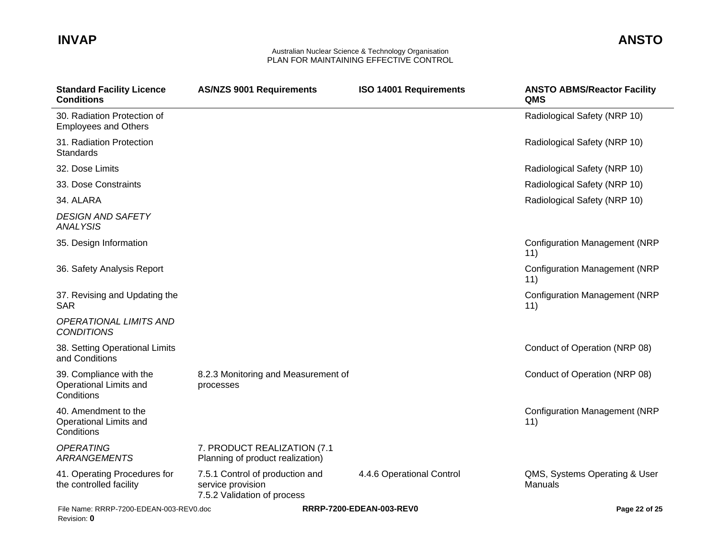| <b>Standard Facility Licence</b><br><b>Conditions</b>           | <b>AS/NZS 9001 Requirements</b>                                                     | <b>ISO 14001 Requirements</b> | <b>ANSTO ABMS/Reactor Facility</b><br>QMS   |
|-----------------------------------------------------------------|-------------------------------------------------------------------------------------|-------------------------------|---------------------------------------------|
| 30. Radiation Protection of<br><b>Employees and Others</b>      |                                                                                     |                               | Radiological Safety (NRP 10)                |
| 31. Radiation Protection<br><b>Standards</b>                    |                                                                                     |                               | Radiological Safety (NRP 10)                |
| 32. Dose Limits                                                 |                                                                                     |                               | Radiological Safety (NRP 10)                |
| 33. Dose Constraints                                            |                                                                                     |                               | Radiological Safety (NRP 10)                |
| 34. ALARA                                                       |                                                                                     |                               | Radiological Safety (NRP 10)                |
| <b>DESIGN AND SAFETY</b><br><b>ANALYSIS</b>                     |                                                                                     |                               |                                             |
| 35. Design Information                                          |                                                                                     |                               | <b>Configuration Management (NRP</b><br>11) |
| 36. Safety Analysis Report                                      |                                                                                     |                               | <b>Configuration Management (NRP</b><br>11) |
| 37. Revising and Updating the<br><b>SAR</b>                     |                                                                                     |                               | <b>Configuration Management (NRP</b><br>11) |
| <b>OPERATIONAL LIMITS AND</b><br><b>CONDITIONS</b>              |                                                                                     |                               |                                             |
| 38. Setting Operational Limits<br>and Conditions                |                                                                                     |                               | Conduct of Operation (NRP 08)               |
| 39. Compliance with the<br>Operational Limits and<br>Conditions | 8.2.3 Monitoring and Measurement of<br>processes                                    |                               | Conduct of Operation (NRP 08)               |
| 40. Amendment to the<br>Operational Limits and<br>Conditions    |                                                                                     |                               | <b>Configuration Management (NRP</b><br>11) |
| <b>OPERATING</b><br><b>ARRANGEMENTS</b>                         | 7. PRODUCT REALIZATION (7.1<br>Planning of product realization)                     |                               |                                             |
| 41. Operating Procedures for<br>the controlled facility         | 7.5.1 Control of production and<br>service provision<br>7.5.2 Validation of process | 4.4.6 Operational Control     | QMS, Systems Operating & User<br>Manuals    |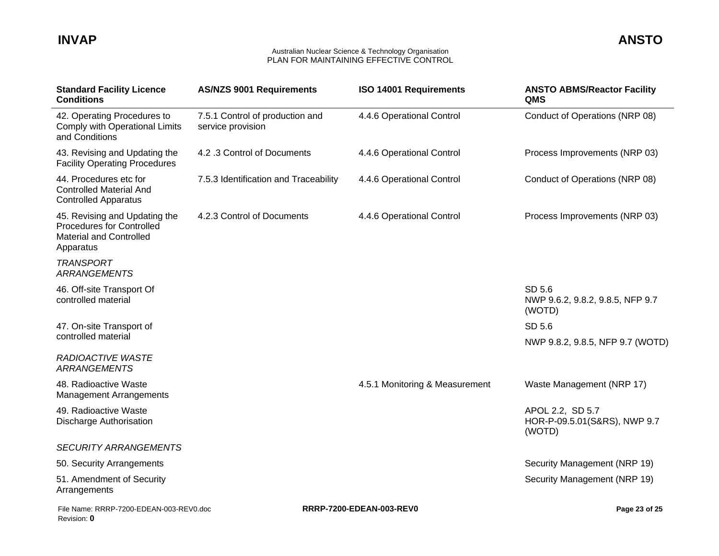| <b>Standard Facility Licence</b><br><b>Conditions</b>                                                            | <b>AS/NZS 9001 Requirements</b>                      | <b>ISO 14001 Requirements</b>  | <b>ANSTO ABMS/Reactor Facility</b><br>QMS                  |
|------------------------------------------------------------------------------------------------------------------|------------------------------------------------------|--------------------------------|------------------------------------------------------------|
| 42. Operating Procedures to<br>Comply with Operational Limits<br>and Conditions                                  | 7.5.1 Control of production and<br>service provision | 4.4.6 Operational Control      | Conduct of Operations (NRP 08)                             |
| 43. Revising and Updating the<br><b>Facility Operating Procedures</b>                                            | 4.2.3 Control of Documents                           | 4.4.6 Operational Control      | Process Improvements (NRP 03)                              |
| 44. Procedures etc for<br><b>Controlled Material And</b><br><b>Controlled Apparatus</b>                          | 7.5.3 Identification and Traceability                | 4.4.6 Operational Control      | Conduct of Operations (NRP 08)                             |
| 45. Revising and Updating the<br><b>Procedures for Controlled</b><br><b>Material and Controlled</b><br>Apparatus | 4.2.3 Control of Documents                           | 4.4.6 Operational Control      | Process Improvements (NRP 03)                              |
| <b>TRANSPORT</b><br><b>ARRANGEMENTS</b>                                                                          |                                                      |                                |                                                            |
| 46. Off-site Transport Of<br>controlled material                                                                 |                                                      |                                | SD 5.6<br>NWP 9.6.2, 9.8.2, 9.8.5, NFP 9.7<br>(WOTD)       |
| 47. On-site Transport of                                                                                         |                                                      |                                | SD 5.6                                                     |
| controlled material                                                                                              |                                                      |                                | NWP 9.8.2, 9.8.5, NFP 9.7 (WOTD)                           |
| <b>RADIOACTIVE WASTE</b><br><b>ARRANGEMENTS</b>                                                                  |                                                      |                                |                                                            |
| 48. Radioactive Waste<br><b>Management Arrangements</b>                                                          |                                                      | 4.5.1 Monitoring & Measurement | Waste Management (NRP 17)                                  |
| 49. Radioactive Waste<br>Discharge Authorisation                                                                 |                                                      |                                | APOL 2.2, SD 5.7<br>HOR-P-09.5.01(S&RS), NWP 9.7<br>(WOTD) |
| <b>SECURITY ARRANGEMENTS</b>                                                                                     |                                                      |                                |                                                            |
| 50. Security Arrangements                                                                                        |                                                      |                                | Security Management (NRP 19)                               |
| 51. Amendment of Security<br>Arrangements                                                                        |                                                      |                                | Security Management (NRP 19)                               |
| File Name: RRRP-7200-EDEAN-003-REV0.doc<br>Revision: 0                                                           |                                                      | RRRP-7200-EDEAN-003-REV0       | Page 23 of 25                                              |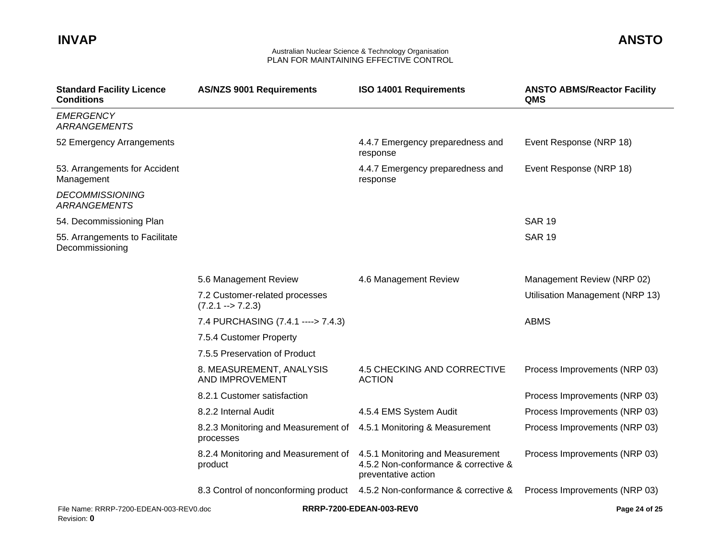| <b>Standard Facility Licence</b><br><b>Conditions</b>  | <b>AS/NZS 9001 Requirements</b>                               | ISO 14001 Requirements                                                                          | <b>ANSTO ABMS/Reactor Facility</b><br>QMS |
|--------------------------------------------------------|---------------------------------------------------------------|-------------------------------------------------------------------------------------------------|-------------------------------------------|
| <b>EMERGENCY</b><br><b>ARRANGEMENTS</b>                |                                                               |                                                                                                 |                                           |
| 52 Emergency Arrangements                              |                                                               | 4.4.7 Emergency preparedness and<br>response                                                    | Event Response (NRP 18)                   |
| 53. Arrangements for Accident<br>Management            |                                                               | 4.4.7 Emergency preparedness and<br>response                                                    | Event Response (NRP 18)                   |
| <b>DECOMMISSIONING</b><br><b>ARRANGEMENTS</b>          |                                                               |                                                                                                 |                                           |
| 54. Decommissioning Plan                               |                                                               |                                                                                                 | <b>SAR 19</b>                             |
| 55. Arrangements to Facilitate<br>Decommissioning      |                                                               |                                                                                                 | <b>SAR 19</b>                             |
|                                                        | 5.6 Management Review                                         | 4.6 Management Review                                                                           | Management Review (NRP 02)                |
|                                                        | 7.2 Customer-related processes<br>$(7.2.1 \rightarrow 7.2.3)$ |                                                                                                 | Utilisation Management (NRP 13)           |
|                                                        | 7.4 PURCHASING (7.4.1 ----> 7.4.3)                            |                                                                                                 | <b>ABMS</b>                               |
|                                                        | 7.5.4 Customer Property                                       |                                                                                                 |                                           |
|                                                        | 7.5.5 Preservation of Product                                 |                                                                                                 |                                           |
|                                                        | 8. MEASUREMENT, ANALYSIS<br>AND IMPROVEMENT                   | 4.5 CHECKING AND CORRECTIVE<br><b>ACTION</b>                                                    | Process Improvements (NRP 03)             |
|                                                        | 8.2.1 Customer satisfaction                                   |                                                                                                 | Process Improvements (NRP 03)             |
|                                                        | 8.2.2 Internal Audit                                          | 4.5.4 EMS System Audit                                                                          | Process Improvements (NRP 03)             |
|                                                        | 8.2.3 Monitoring and Measurement of<br>processes              | 4.5.1 Monitoring & Measurement                                                                  | Process Improvements (NRP 03)             |
|                                                        | 8.2.4 Monitoring and Measurement of<br>product                | 4.5.1 Monitoring and Measurement<br>4.5.2 Non-conformance & corrective &<br>preventative action | Process Improvements (NRP 03)             |
|                                                        |                                                               | 8.3 Control of nonconforming product 4.5.2 Non-conformance & corrective &                       | Process Improvements (NRP 03)             |
| File Name: RRRP-7200-EDEAN-003-REV0.doc<br>Revision: 0 |                                                               | RRRP-7200-EDEAN-003-REV0                                                                        | Page 24 of 25                             |